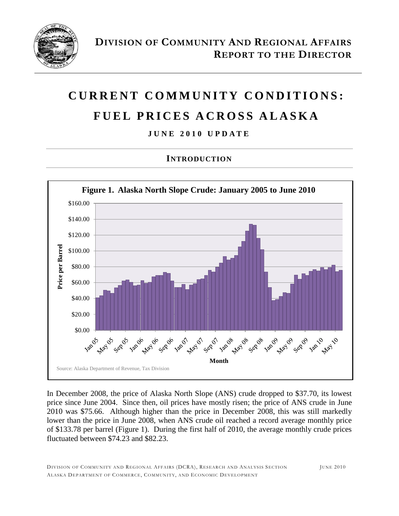

# **C U R R E N T C O M M U N I T Y C O N D I T I O N S : F U E L P R I C E S A C R O S S A L A S K A**

**J UNE 2010 U P D A T E**

#### **INTRODUCTION**



In December 2008, the price of Alaska North Slope (ANS) crude dropped to \$37.70, its lowest price since June 2004. Since then, oil prices have mostly risen; the price of ANS crude in June 2010 was \$75.66. Although higher than the price in December 2008, this was still markedly lower than the price in June 2008, when ANS crude oil reached a record average monthly price of \$133.78 per barrel (Figure 1). During the first half of 2010, the average monthly crude prices fluctuated between \$74.23 and \$82.23.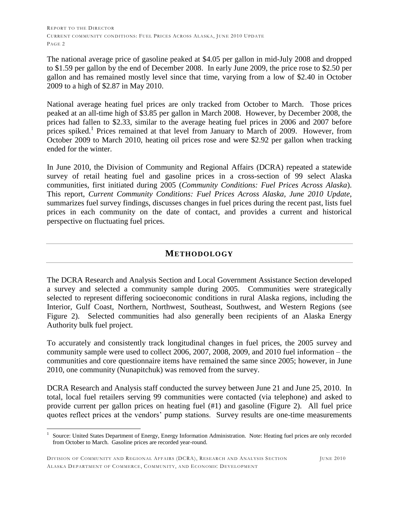The national average price of gasoline peaked at \$4.05 per gallon in mid-July 2008 and dropped to \$1.59 per gallon by the end of December 2008. In early June 2009, the price rose to \$2.50 per gallon and has remained mostly level since that time, varying from a low of \$2.40 in October 2009 to a high of \$2.87 in May 2010.

National average heating fuel prices are only tracked from October to March. Those prices peaked at an all-time high of \$3.85 per gallon in March 2008. However, by December 2008, the prices had fallen to \$2.33, similar to the average heating fuel prices in 2006 and 2007 before prices spiked.<sup>1</sup> Prices remained at that level from January to March of 2009. However, from October 2009 to March 2010, heating oil prices rose and were \$2.92 per gallon when tracking ended for the winter.

In June 2010, the Division of Community and Regional Affairs (DCRA) repeated a statewide survey of retail heating fuel and gasoline prices in a cross-section of 99 select Alaska communities, first initiated during 2005 (*Community Conditions: Fuel Prices Across Alaska*). This report, *Current Community Conditions: Fuel Prices Across Alaska, June 2010 Update*, summarizes fuel survey findings, discusses changes in fuel prices during the recent past, lists fuel prices in each community on the date of contact, and provides a current and historical perspective on fluctuating fuel prices.

#### **METHODOLOGY**

The DCRA Research and Analysis Section and Local Government Assistance Section developed a survey and selected a community sample during 2005. Communities were strategically selected to represent differing socioeconomic conditions in rural Alaska regions, including the Interior, Gulf Coast, Northern, Northwest, Southeast, Southwest, and Western Regions (see Figure 2). Selected communities had also generally been recipients of an Alaska Energy Authority bulk fuel project.

To accurately and consistently track longitudinal changes in fuel prices, the 2005 survey and community sample were used to collect 2006, 2007, 2008, 2009, and 2010 fuel information – the communities and core questionnaire items have remained the same since 2005; however, in June 2010, one community (Nunapitchuk) was removed from the survey.

DCRA Research and Analysis staff conducted the survey between June 21 and June 25, 2010. In total, local fuel retailers serving 99 communities were contacted (via telephone) and asked to provide current per gallon prices on heating fuel (#1) and gasoline (Figure 2). All fuel price quotes reflect prices at the vendors' pump stations. Survey results are one-time measurements

 $\overline{a}$ 1 Source: United States Department of Energy, Energy Information Administration. Note: Heating fuel prices are only recorded from October to March. Gasoline prices are recorded year-round.

DIVISION OF COMMUNITY AND REGIONAL AFFAIRS (DCRA), RESEARCH AND ANALYSIS SECTION JUNE 2010 ALASKA DEPARTMENT OF COMMERCE, COMMUNITY, AND ECONOMIC DEVELOPMENT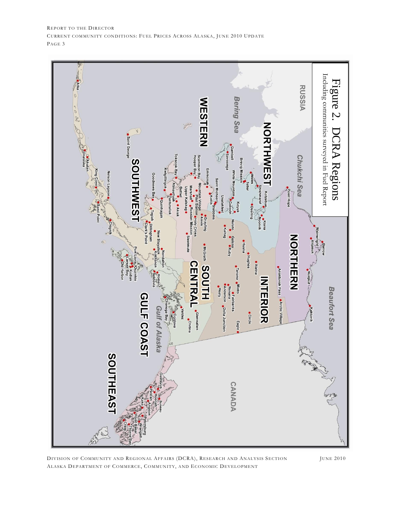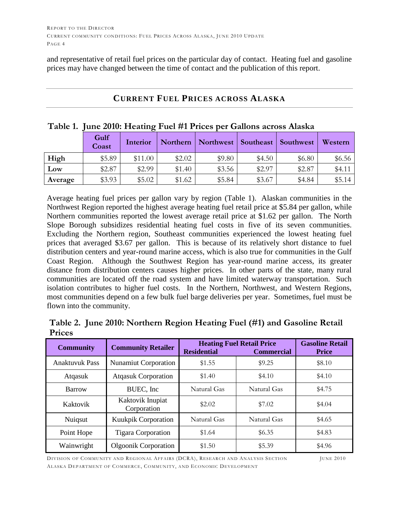and representative of retail fuel prices on the particular day of contact. Heating fuel and gasoline prices may have changed between the time of contact and the publication of this report.

| Table 1. June 2010: Heating Fuel #1 Prices per Gallons across Alaska |                                                                                      |         |        |        |        |        |        |  |  |  |  |
|----------------------------------------------------------------------|--------------------------------------------------------------------------------------|---------|--------|--------|--------|--------|--------|--|--|--|--|
|                                                                      | Gulf<br>Northern   Northwest   Southeast   Southwest<br>Western<br>Interior<br>Coast |         |        |        |        |        |        |  |  |  |  |
| High                                                                 | \$5.89                                                                               | \$11.00 | \$2.02 | \$9.80 | \$4.50 | \$6.80 | \$6.56 |  |  |  |  |
| Low                                                                  | \$2.87                                                                               | \$2.99  | \$1.40 | \$3.56 | \$2.97 | \$2.87 | \$4.11 |  |  |  |  |
| Average                                                              | \$3.93                                                                               | \$5.02  | \$1.62 | \$5.84 | \$3.67 | \$4.84 | \$5.14 |  |  |  |  |

#### **CURRENT FUEL PRICES ACROSS ALASKA**

Average heating fuel prices per gallon vary by region (Table 1). Alaskan communities in the Northwest Region reported the highest average heating fuel retail price at \$5.84 per gallon, while Northern communities reported the lowest average retail price at \$1.62 per gallon. The North Slope Borough subsidizes residential heating fuel costs in five of its seven communities. Excluding the Northern region, Southeast communities experienced the lowest heating fuel prices that averaged \$3.67 per gallon. This is because of its relatively short distance to fuel distribution centers and year-round marine access, which is also true for communities in the Gulf Coast Region. Although the Southwest Region has year-round marine access, its greater distance from distribution centers causes higher prices. In other parts of the state, many rural communities are located off the road system and have limited waterway transportation. Such isolation contributes to higher fuel costs. In the Northern, Northwest, and Western Regions, most communities depend on a few bulk fuel barge deliveries per year. Sometimes, fuel must be flown into the community.

|               | Table 2. June 2010: Northern Region Heating Fuel (#1) and Gasoline Retail |  |  |
|---------------|---------------------------------------------------------------------------|--|--|
| <b>Prices</b> |                                                                           |  |  |

| <b>Community</b>      | <b>Community Retailer</b>       | <b>Residential</b> | <b>Heating Fuel Retail Price</b><br><b>Commercial</b> | <b>Gasoline Retail</b><br><b>Price</b> |
|-----------------------|---------------------------------|--------------------|-------------------------------------------------------|----------------------------------------|
| <b>Anaktuvuk Pass</b> | <b>Nunamiut Corporation</b>     | \$1.55             | \$9.25                                                | \$8.10                                 |
| Atqasuk               | <b>Atqasuk Corporation</b>      | \$1.40             | \$4.10                                                | \$4.10                                 |
| <b>Barrow</b>         | BUEC, Inc.                      | Natural Gas        | Natural Gas                                           | \$4.75                                 |
| Kaktovik              | Kaktovik Inupiat<br>Corporation | \$2.02             | \$7.02                                                | \$4.04                                 |
| Nuiqsut               | <b>Kuukpik Corporation</b>      | Natural Gas        | Natural Gas                                           | \$4.65                                 |
| Point Hope            | <b>Tigara Corporation</b>       | \$1.64             | \$6.35                                                | \$4.83                                 |
| Wainwright            | <b>Olgoonik Corporation</b>     | \$1.50             | \$5.39                                                | \$4.96                                 |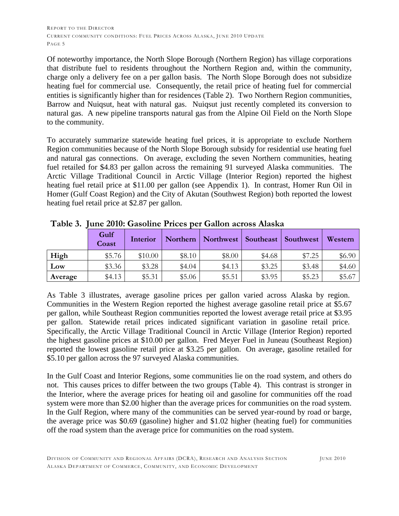Of noteworthy importance, the North Slope Borough (Northern Region) has village corporations that distribute fuel to residents throughout the Northern Region and, within the community, charge only a delivery fee on a per gallon basis. The North Slope Borough does not subsidize heating fuel for commercial use. Consequently, the retail price of heating fuel for commercial entities is significantly higher than for residences (Table 2). Two Northern Region communities, Barrow and Nuiqsut, heat with natural gas. Nuiqsut just recently completed its conversion to natural gas. A new pipeline transports natural gas from the Alpine Oil Field on the North Slope to the community.

To accurately summarize statewide heating fuel prices, it is appropriate to exclude Northern Region communities because of the North Slope Borough subsidy for residential use heating fuel and natural gas connections. On average, excluding the seven Northern communities, heating fuel retailed for \$4.83 per gallon across the remaining 91 surveyed Alaska communities. The Arctic Village Traditional Council in Arctic Village (Interior Region) reported the highest heating fuel retail price at \$11.00 per gallon (see Appendix 1). In contrast, Homer Run Oil in Homer (Gulf Coast Region) and the City of Akutan (Southwest Region) both reported the lowest heating fuel retail price at \$2.87 per gallon.

|         | <b>Gulf</b><br>Coast | Interior | Northern | Northwest | Southeast | Southwest | Western |
|---------|----------------------|----------|----------|-----------|-----------|-----------|---------|
| High    | \$5.76               | \$10.00  | \$8.10   | \$8.00    | \$4.68    | \$7.25    | \$6.90  |
| Low     | \$3.36               | \$3.28   | \$4.04   | \$4.13    | \$3.25    | \$3.48    | \$4.60  |
| Average | \$4.13               | \$5.31   | \$5.06   | \$5.51    | \$3.95    | \$5.23    | \$5.67  |

**Table 3. June 2010: Gasoline Prices per Gallon across Alaska**

As Table 3 illustrates, average gasoline prices per gallon varied across Alaska by region. Communities in the Western Region reported the highest average gasoline retail price at \$5.67 per gallon, while Southeast Region communities reported the lowest average retail price at \$3.95 per gallon. Statewide retail prices indicated significant variation in gasoline retail price. Specifically, the Arctic Village Traditional Council in Arctic Village (Interior Region) reported the highest gasoline prices at \$10.00 per gallon. Fred Meyer Fuel in Juneau (Southeast Region) reported the lowest gasoline retail price at \$3.25 per gallon. On average, gasoline retailed for \$5.10 per gallon across the 97 surveyed Alaska communities.

In the Gulf Coast and Interior Regions, some communities lie on the road system, and others do not. This causes prices to differ between the two groups (Table 4). This contrast is stronger in the Interior, where the average prices for heating oil and gasoline for communities off the road system were more than \$2.00 higher than the average prices for communities on the road system. In the Gulf Region, where many of the communities can be served year-round by road or barge, the average price was \$0.69 (gasoline) higher and \$1.02 higher (heating fuel) for communities off the road system than the average price for communities on the road system.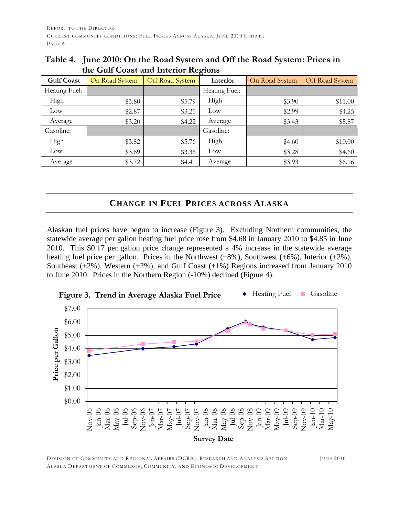|                   | the out conor and interior recroits |                 |               |                |                 |  |  |  |  |  |  |  |  |
|-------------------|-------------------------------------|-----------------|---------------|----------------|-----------------|--|--|--|--|--|--|--|--|
| <b>Gulf Coast</b> | On Road System                      | Off Road System | Interior      | On Road System | Off Road System |  |  |  |  |  |  |  |  |
| Heating Fuel:     |                                     |                 | Heating Fuel: |                |                 |  |  |  |  |  |  |  |  |
| High              | \$3.80                              | \$5.79          | High          | \$3.90         | \$11.00         |  |  |  |  |  |  |  |  |
| Low               | \$2.87                              | \$3.25          | Low           | \$2.99         | \$4.25          |  |  |  |  |  |  |  |  |
| Average           | \$3.20                              | \$4.22          | Average       | \$3.43         | \$5.87          |  |  |  |  |  |  |  |  |
| Gasoline:         |                                     |                 | Gasoline:     |                |                 |  |  |  |  |  |  |  |  |
| High              | \$3.82                              | \$5.76          | High          | \$4.60         | \$10.00         |  |  |  |  |  |  |  |  |
| Low               | \$3.69                              | \$3.36          | Low           | \$3.28         | \$4.60          |  |  |  |  |  |  |  |  |
| Average           | \$3.72                              | \$4.41          | Average       | \$3.93         | \$6.16          |  |  |  |  |  |  |  |  |

#### **Table 4. June 2010: On the Road System and Off the Road System: Prices in the Gulf Coast and Interior Regions**

#### **CHANGE IN FUEL PRICES ACROSS ALASKA**

Alaskan fuel prices have begun to increase (Figure 3). Excluding Northern communities, the statewide average per gallon heating fuel price rose from \$4.68 in January 2010 to \$4.85 in June 2010. This \$0.17 per gallon price change represented a 4% increase in the statewide average heating fuel price per gallon. Prices in the Northwest (+8%), Southwest (+6%), Interior (+2%), Southeast  $(+2\%)$ , Western  $(+2\%)$ , and Gulf Coast  $(+1\%)$  Regions increased from January 2010 to June 2010. Prices in the Northern Region (-10%) declined (Figure 4).

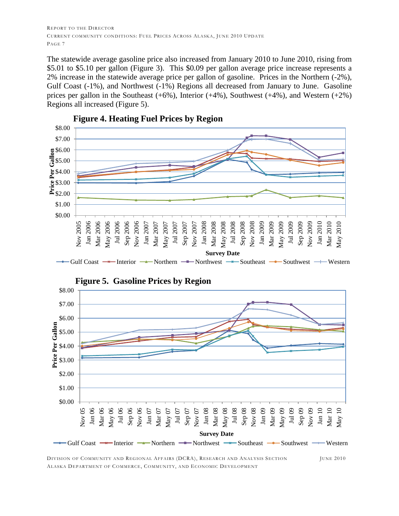The statewide average gasoline price also increased from January 2010 to June 2010, rising from \$5.01 to \$5.10 per gallon (Figure 3). This \$0.09 per gallon average price increase represents a 2% increase in the statewide average price per gallon of gasoline. Prices in the Northern (-2%), Gulf Coast (-1%), and Northwest (-1%) Regions all decreased from January to June. Gasoline prices per gallon in the Southeast  $(+6%)$ , Interior  $(+4%)$ , Southwest  $(+4%)$ , and Western  $(+2%)$ Regions all increased (Figure 5).



**Figure 4. Heating Fuel Prices by Region**



**Figure 5. Gasoline Prices by Region**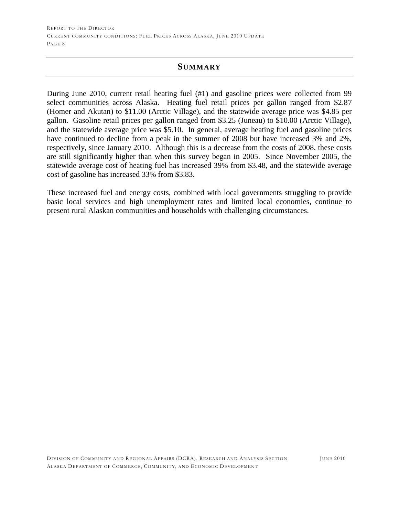#### **SUMMARY**

During June 2010, current retail heating fuel (#1) and gasoline prices were collected from 99 select communities across Alaska. Heating fuel retail prices per gallon ranged from \$2.87 (Homer and Akutan) to \$11.00 (Arctic Village), and the statewide average price was \$4.85 per gallon. Gasoline retail prices per gallon ranged from \$3.25 (Juneau) to \$10.00 (Arctic Village), and the statewide average price was \$5.10. In general, average heating fuel and gasoline prices have continued to decline from a peak in the summer of 2008 but have increased 3% and 2%, respectively, since January 2010. Although this is a decrease from the costs of 2008, these costs are still significantly higher than when this survey began in 2005. Since November 2005, the statewide average cost of heating fuel has increased 39% from \$3.48, and the statewide average cost of gasoline has increased 33% from \$3.83.

These increased fuel and energy costs, combined with local governments struggling to provide basic local services and high unemployment rates and limited local economies, continue to present rural Alaskan communities and households with challenging circumstances.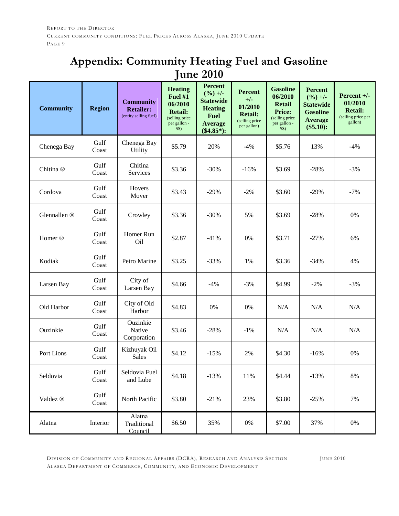### **Appendix: Community Heating Fuel and Gasoline June 2010**

| <b>Community</b>     | <b>Region</b> | <b>Community</b><br><b>Retailer:</b><br>(entity selling fuel) | <b>Heating</b><br>Fuel #1<br>06/2010<br><b>Retail:</b><br>(selling price<br>per gallon -<br>\$\$) | <b>Percent</b><br>$(\frac{9}{6}) +$ /-<br><b>Statewide</b><br><b>Heating</b><br><b>Fuel</b><br><b>Average</b><br>$(\$4.85*)$ : | <b>Percent</b><br>$+/-$<br>01/2010<br><b>Retail:</b><br>(selling price<br>per gallon) | <b>Gasoline</b><br>06/2010<br><b>Retail</b><br><b>Price:</b><br>(selling price<br>per gallon -<br>\$\$) | <b>Percent</b><br>$(\frac{9}{6}) +$ /-<br><b>Statewide</b><br><b>Gasoline</b><br><b>Average</b><br>$(\$5.10):$ | Percent $+/-$<br>01/2010<br><b>Retail:</b><br>(selling price per<br>gallon) |
|----------------------|---------------|---------------------------------------------------------------|---------------------------------------------------------------------------------------------------|--------------------------------------------------------------------------------------------------------------------------------|---------------------------------------------------------------------------------------|---------------------------------------------------------------------------------------------------------|----------------------------------------------------------------------------------------------------------------|-----------------------------------------------------------------------------|
| Chenega Bay          | Gulf<br>Coast | Chenega Bay<br><b>Utility</b>                                 | \$5.79                                                                                            | 20%                                                                                                                            | $-4%$                                                                                 | \$5.76                                                                                                  | 13%                                                                                                            | $-4%$                                                                       |
| Chitina <sup>®</sup> | Gulf<br>Coast | Chitina<br>Services                                           | \$3.36                                                                                            | $-30%$                                                                                                                         | $-16%$                                                                                | \$3.69                                                                                                  | $-28%$                                                                                                         | $-3%$                                                                       |
| Cordova              | Gulf<br>Coast | Hovers<br>Mover                                               | \$3.43                                                                                            | $-29%$                                                                                                                         | $-2%$                                                                                 | \$3.60                                                                                                  | $-29%$                                                                                                         | $-7%$                                                                       |
| Glennallen ®         | Gulf<br>Coast | Crowley                                                       | \$3.36                                                                                            | $-30%$                                                                                                                         | 5%                                                                                    | \$3.69                                                                                                  | $-28%$                                                                                                         | 0%                                                                          |
| Homer <sup>®</sup>   | Gulf<br>Coast | Homer Run<br>Oil                                              | \$2.87                                                                                            | $-41%$                                                                                                                         | $0\%$                                                                                 | \$3.71                                                                                                  | $-27%$                                                                                                         | 6%                                                                          |
| Kodiak               | Gulf<br>Coast | Petro Marine                                                  | \$3.25                                                                                            | $-33%$                                                                                                                         | 1%                                                                                    | \$3.36                                                                                                  | $-34%$                                                                                                         | 4%                                                                          |
| Larsen Bay           | Gulf<br>Coast | City of<br>Larsen Bay                                         | \$4.66                                                                                            | $-4%$                                                                                                                          | $-3%$                                                                                 | \$4.99                                                                                                  | $-2%$                                                                                                          | $-3%$                                                                       |
| Old Harbor           | Gulf<br>Coast | City of Old<br>Harbor                                         | \$4.83                                                                                            | $0\%$                                                                                                                          | $0\%$                                                                                 | N/A                                                                                                     | N/A                                                                                                            | N/A                                                                         |
| Ouzinkie             | Gulf<br>Coast | Ouzinkie<br>Native<br>Corporation                             | \$3.46                                                                                            | $-28%$                                                                                                                         | $-1\%$                                                                                | N/A                                                                                                     | N/A                                                                                                            | N/A                                                                         |
| Port Lions           | Gulf<br>Coast | Kizhuyak Oil<br><b>Sales</b>                                  | \$4.12                                                                                            | $-15%$                                                                                                                         | 2%                                                                                    | \$4.30                                                                                                  | $-16%$                                                                                                         | 0%                                                                          |
| Seldovia             | Gulf<br>Coast | Seldovia Fuel<br>and Lube                                     | \$4.18                                                                                            | $-13%$                                                                                                                         | 11%                                                                                   | \$4.44                                                                                                  | $-13%$                                                                                                         | $8\%$                                                                       |
| Valdez ®             | Gulf<br>Coast | North Pacific                                                 | \$3.80                                                                                            | $-21%$                                                                                                                         | 23%                                                                                   | \$3.80                                                                                                  | $-25%$                                                                                                         | 7%                                                                          |
| Alatna               | Interior      | Alatna<br>Traditional<br>Council                              | \$6.50                                                                                            | 35%                                                                                                                            | $0\%$                                                                                 | \$7.00                                                                                                  | 37%                                                                                                            | 0%                                                                          |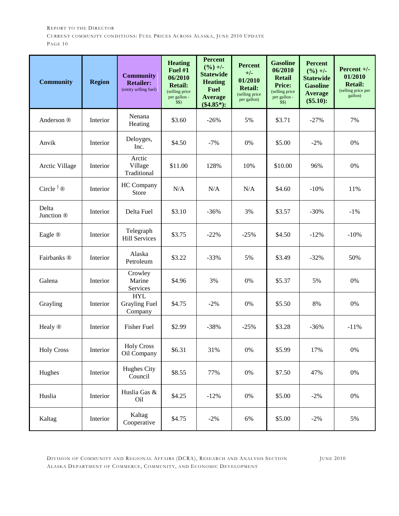| <b>Community</b>      | <b>Region</b> | <b>Community</b><br><b>Retailer:</b><br>(entity selling fuel) | <b>Heating</b><br>Fuel #1<br>06/2010<br><b>Retail:</b><br>(selling price<br>per gallon -<br>\$S) | <b>Percent</b><br>$(\frac{9}{6}) +$ -<br><b>Statewide</b><br><b>Heating</b><br><b>Fuel</b><br><b>Average</b><br>$(\$4.85*)$ : | <b>Percent</b><br>$+/-$<br>01/2010<br><b>Retail:</b><br>(selling price<br>per gallon) | <b>Gasoline</b><br>06/2010<br><b>Retail</b><br><b>Price:</b><br>(selling price<br>per gallon -<br>\$S) | <b>Percent</b><br>$(\frac{9}{6}) +$ /-<br><b>Statewide</b><br><b>Gasoline</b><br><b>Average</b><br>$(\$5.10):$ | Percent $+/-$<br>01/2010<br><b>Retail:</b><br>(selling price per<br>gallon) |
|-----------------------|---------------|---------------------------------------------------------------|--------------------------------------------------------------------------------------------------|-------------------------------------------------------------------------------------------------------------------------------|---------------------------------------------------------------------------------------|--------------------------------------------------------------------------------------------------------|----------------------------------------------------------------------------------------------------------------|-----------------------------------------------------------------------------|
| Anderson ®            | Interior      | Nenana<br>Heating                                             | \$3.60                                                                                           | $-26%$                                                                                                                        | 5%                                                                                    | \$3.71                                                                                                 | $-27%$                                                                                                         | 7%                                                                          |
| Anvik                 | Interior      | Deloyges,<br>Inc.                                             | \$4.50                                                                                           | $-7%$                                                                                                                         | 0%                                                                                    | \$5.00                                                                                                 | $-2%$                                                                                                          | 0%                                                                          |
| Arctic Village        | Interior      | Arctic<br>Village<br>Traditional                              | \$11.00                                                                                          | 128%                                                                                                                          | 10%                                                                                   | \$10.00                                                                                                | 96%                                                                                                            | 0%                                                                          |
| Circle $^{\dagger}$ ® | Interior      | HC Company<br>Store                                           | N/A                                                                                              | N/A                                                                                                                           | N/A                                                                                   | \$4.60                                                                                                 | $-10%$                                                                                                         | 11%                                                                         |
| Delta<br>Junction ®   | Interior      | Delta Fuel                                                    | \$3.10                                                                                           | $-36%$                                                                                                                        | 3%                                                                                    | \$3.57                                                                                                 | $-30%$                                                                                                         | $-1\%$                                                                      |
| Eagle ®               | Interior      | Telegraph<br><b>Hill Services</b>                             | \$3.75                                                                                           | $-22%$                                                                                                                        | $-25%$                                                                                | \$4.50                                                                                                 | $-12%$                                                                                                         | $-10%$                                                                      |
| Fairbanks ®           | Interior      | Alaska<br>Petroleum                                           | \$3.22                                                                                           | $-33%$                                                                                                                        | 5%                                                                                    | \$3.49                                                                                                 | $-32%$                                                                                                         | 50%                                                                         |
| Galena                | Interior      | Crowley<br>Marine<br>Services                                 | \$4.96                                                                                           | 3%                                                                                                                            | $0\%$                                                                                 | \$5.37                                                                                                 | 5%                                                                                                             | 0%                                                                          |
| Grayling              | Interior      | <b>HYL</b><br><b>Grayling Fuel</b><br>Company                 | \$4.75                                                                                           | $-2%$                                                                                                                         | 0%                                                                                    | \$5.50                                                                                                 | 8%                                                                                                             | 0%                                                                          |
| Healy ®               | Interior      | <b>Fisher Fuel</b>                                            | \$2.99                                                                                           | $-38%$                                                                                                                        | $-25%$                                                                                | \$3.28                                                                                                 | $-36%$                                                                                                         | $-11%$                                                                      |
| <b>Holy Cross</b>     | Interior      | <b>Holy Cross</b><br>Oil Company                              | \$6.31                                                                                           | 31%                                                                                                                           | $0\%$                                                                                 | \$5.99                                                                                                 | 17%                                                                                                            | $0\%$                                                                       |
| Hughes                | Interior      | Hughes City<br>Council                                        | \$8.55                                                                                           | 77%                                                                                                                           | $0\%$                                                                                 | \$7.50                                                                                                 | 47%                                                                                                            | $0\%$                                                                       |
| Huslia                | Interior      | Huslia Gas &<br>Oil                                           | \$4.25                                                                                           | $-12%$                                                                                                                        | $0\%$                                                                                 | \$5.00                                                                                                 | $-2\%$                                                                                                         | $0\%$                                                                       |
| Kaltag                | Interior      | Kaltag<br>Cooperative                                         | \$4.75                                                                                           | $-2%$                                                                                                                         | 6%                                                                                    | \$5.00                                                                                                 | $-2\%$                                                                                                         | 5%                                                                          |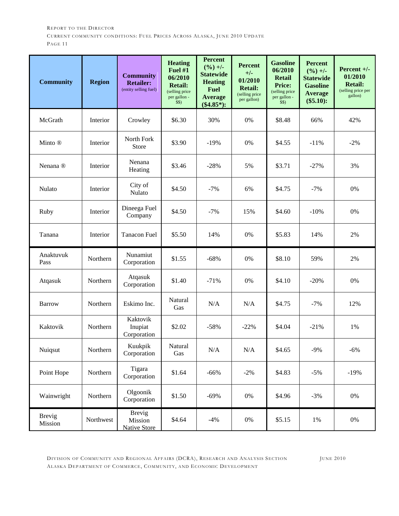| <b>Community</b>         | <b>Region</b> | <b>Community</b><br><b>Retailer:</b><br>(entity selling fuel) | <b>Heating</b><br>Fuel #1<br>06/2010<br><b>Retail:</b><br>(selling price<br>per gallon -<br>\$\$) | <b>Percent</b><br>$(\frac{9}{6}) +$ -<br><b>Statewide</b><br><b>Heating</b><br><b>Fuel</b><br><b>Average</b><br>$(\$4.85*)$ : | <b>Percent</b><br>$+/-$<br>01/2010<br><b>Retail:</b><br>(selling price<br>per gallon) | <b>Gasoline</b><br>06/2010<br><b>Retail</b><br><b>Price:</b><br>(selling price<br>per gallon -<br>\$S) | <b>Percent</b><br>$(\frac{9}{6}) +$ -<br><b>Statewide</b><br><b>Gasoline</b><br><b>Average</b><br>$(\$5.10):$ | Percent $+/-$<br>01/2010<br><b>Retail:</b><br>(selling price per<br>gallon) |
|--------------------------|---------------|---------------------------------------------------------------|---------------------------------------------------------------------------------------------------|-------------------------------------------------------------------------------------------------------------------------------|---------------------------------------------------------------------------------------|--------------------------------------------------------------------------------------------------------|---------------------------------------------------------------------------------------------------------------|-----------------------------------------------------------------------------|
| McGrath                  | Interior      | Crowley                                                       | \$6.30                                                                                            | 30%                                                                                                                           | 0%                                                                                    | \$8.48                                                                                                 | 66%                                                                                                           | 42%                                                                         |
| Minto ®                  | Interior      | North Fork<br>Store                                           | \$3.90                                                                                            | $-19%$                                                                                                                        | 0%                                                                                    | \$4.55                                                                                                 | $-11%$                                                                                                        | $-2%$                                                                       |
| Nenana <sup>®</sup>      | Interior      | Nenana<br>Heating                                             | \$3.46                                                                                            | $-28%$                                                                                                                        | 5%                                                                                    | \$3.71                                                                                                 | $-27%$                                                                                                        | 3%                                                                          |
| Nulato                   | Interior      | City of<br>Nulato                                             | \$4.50                                                                                            | $-7%$                                                                                                                         | 6%                                                                                    | \$4.75                                                                                                 | $-7%$                                                                                                         | 0%                                                                          |
| Ruby                     | Interior      | Dineega Fuel<br>Company                                       | \$4.50                                                                                            | $-7%$                                                                                                                         | 15%                                                                                   | \$4.60                                                                                                 | $-10%$                                                                                                        | 0%                                                                          |
| Tanana                   | Interior      | <b>Tanacon Fuel</b>                                           | \$5.50                                                                                            | 14%                                                                                                                           | 0%                                                                                    | \$5.83                                                                                                 | 14%                                                                                                           | 2%                                                                          |
| Anaktuvuk<br>Pass        | Northern      | Nunamiut<br>Corporation                                       | \$1.55                                                                                            | $-68%$                                                                                                                        | 0%                                                                                    | \$8.10                                                                                                 | 59%                                                                                                           | 2%                                                                          |
| Atqasuk                  | Northern      | Atqasuk<br>Corporation                                        | \$1.40                                                                                            | $-71%$                                                                                                                        | 0%                                                                                    | \$4.10                                                                                                 | $-20%$                                                                                                        | 0%                                                                          |
| <b>Barrow</b>            | Northern      | Eskimo Inc.                                                   | Natural<br>Gas                                                                                    | N/A                                                                                                                           | N/A                                                                                   | \$4.75                                                                                                 | $-7%$                                                                                                         | 12%                                                                         |
| Kaktovik                 | Northern      | Kaktovik<br>Inupiat<br>Corporation                            | \$2.02                                                                                            | $-58%$                                                                                                                        | $-22%$                                                                                | \$4.04                                                                                                 | $-21%$                                                                                                        | 1%                                                                          |
| Nuiqsut                  | Northern      | Kuukpik<br>Corporation                                        | Natural<br>Gas                                                                                    | $\rm N/A$                                                                                                                     | $\rm N/A$                                                                             | \$4.65                                                                                                 | $-9%$                                                                                                         | $-6%$                                                                       |
| Point Hope               | Northern      | Tigara<br>Corporation                                         | \$1.64                                                                                            | $-66%$                                                                                                                        | $-2%$                                                                                 | \$4.83                                                                                                 | $-5%$                                                                                                         | $-19%$                                                                      |
| Wainwright               | Northern      | Olgoonik<br>Corporation                                       | \$1.50                                                                                            | $-69%$                                                                                                                        | $0\%$                                                                                 | \$4.96                                                                                                 | $-3%$                                                                                                         | $0\%$                                                                       |
| <b>Brevig</b><br>Mission | Northwest     | <b>Brevig</b><br>Mission<br><b>Native Store</b>               | \$4.64                                                                                            | $-4%$                                                                                                                         | $0\%$                                                                                 | \$5.15                                                                                                 | 1%                                                                                                            | $0\%$                                                                       |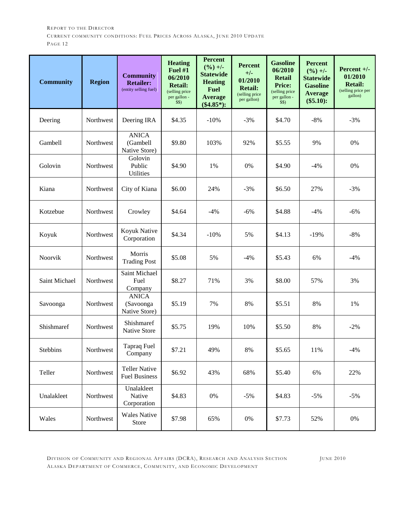| <b>Community</b> | <b>Region</b>    | <b>Community</b><br><b>Retailer:</b><br>(entity selling fuel) | <b>Heating</b><br><b>Fuel #1</b><br>06/2010<br><b>Retail:</b><br>(selling price<br>per gallon -<br>\$\$) | <b>Percent</b><br>$(\frac{9}{6}) +$ -<br><b>Statewide</b><br><b>Heating</b><br><b>Fuel</b><br><b>Average</b><br>$(\$4.85*)$ : | <b>Percent</b><br>$+/-$<br>01/2010<br><b>Retail:</b><br>(selling price<br>per gallon) | <b>Gasoline</b><br>06/2010<br><b>Retail</b><br><b>Price:</b><br>(selling price<br>per gallon -<br>\$\$) | <b>Percent</b><br>$(\frac{9}{6}) +$ -<br><b>Statewide</b><br><b>Gasoline</b><br><b>Average</b><br>$(\$5.10):$ | Percent $+/-$<br>01/2010<br><b>Retail:</b><br>(selling price per<br>gallon) |
|------------------|------------------|---------------------------------------------------------------|----------------------------------------------------------------------------------------------------------|-------------------------------------------------------------------------------------------------------------------------------|---------------------------------------------------------------------------------------|---------------------------------------------------------------------------------------------------------|---------------------------------------------------------------------------------------------------------------|-----------------------------------------------------------------------------|
| Deering          | Northwest        | Deering IRA                                                   | \$4.35                                                                                                   | $-10%$                                                                                                                        | $-3%$                                                                                 | \$4.70                                                                                                  | $-8%$                                                                                                         | $-3%$                                                                       |
| Gambell          | <b>Northwest</b> | <b>ANICA</b><br>(Gambell<br>Native Store)                     | \$9.80                                                                                                   | 103%                                                                                                                          | 92%                                                                                   | \$5.55                                                                                                  | 9%                                                                                                            | 0%                                                                          |
| Golovin          | Northwest        | Golovin<br>Public<br><b>Utilities</b>                         | \$4.90                                                                                                   | 1%                                                                                                                            | 0%                                                                                    | \$4.90                                                                                                  | $-4%$                                                                                                         | 0%                                                                          |
| Kiana            | Northwest        | City of Kiana                                                 | \$6.00                                                                                                   | 24%                                                                                                                           | $-3%$                                                                                 | \$6.50                                                                                                  | 27%                                                                                                           | $-3%$                                                                       |
| Kotzebue         | Northwest        | Crowley                                                       | \$4.64                                                                                                   | $-4%$                                                                                                                         | $-6%$                                                                                 | \$4.88                                                                                                  | $-4%$                                                                                                         | $-6%$                                                                       |
| Koyuk            | Northwest        | Koyuk Native<br>Corporation                                   | \$4.34                                                                                                   | $-10%$                                                                                                                        | 5%                                                                                    | \$4.13                                                                                                  | $-19%$                                                                                                        | $-8%$                                                                       |
| Noorvik          | Northwest        | Morris<br><b>Trading Post</b>                                 | \$5.08                                                                                                   | 5%                                                                                                                            | $-4%$                                                                                 | \$5.43                                                                                                  | 6%                                                                                                            | $-4%$                                                                       |
| Saint Michael    | Northwest        | Saint Michael<br>Fuel<br>Company                              | \$8.27                                                                                                   | 71%                                                                                                                           | 3%                                                                                    | \$8.00                                                                                                  | 57%                                                                                                           | 3%                                                                          |
| Savoonga         | Northwest        | <b>ANICA</b><br>(Savoonga<br>Native Store)                    | \$5.19                                                                                                   | 7%                                                                                                                            | 8%                                                                                    | \$5.51                                                                                                  | 8%                                                                                                            | 1%                                                                          |
| Shishmaref       | Northwest        | Shishmaref<br><b>Native Store</b>                             | \$5.75                                                                                                   | 19%                                                                                                                           | 10%                                                                                   | \$5.50                                                                                                  | 8%                                                                                                            | $-2%$                                                                       |
| Stebbins         | Northwest        | Tapraq Fuel<br>Company                                        | \$7.21                                                                                                   | 49%                                                                                                                           | $8\%$                                                                                 | \$5.65                                                                                                  | 11%                                                                                                           | $-4%$                                                                       |
| Teller           | Northwest        | <b>Teller Native</b><br><b>Fuel Business</b>                  | \$6.92                                                                                                   | 43%                                                                                                                           | 68%                                                                                   | \$5.40                                                                                                  | 6%                                                                                                            | 22%                                                                         |
| Unalakleet       | Northwest        | Unalakleet<br>Native<br>Corporation                           | \$4.83                                                                                                   | 0%                                                                                                                            | $-5%$                                                                                 | \$4.83                                                                                                  | $-5%$                                                                                                         | $-5%$                                                                       |
| Wales            | Northwest        | <b>Wales Native</b><br>Store                                  | \$7.98                                                                                                   | 65%                                                                                                                           | $0\%$                                                                                 | \$7.73                                                                                                  | 52%                                                                                                           | $0\%$                                                                       |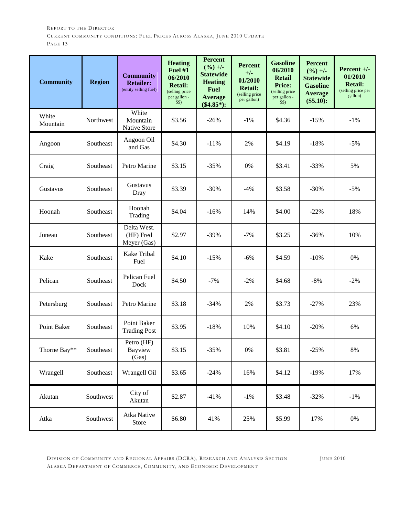| <b>Community</b>  | <b>Region</b> | <b>Community</b><br><b>Retailer:</b><br>(entity selling fuel) | <b>Heating</b><br>Fuel #1<br>06/2010<br><b>Retail:</b><br>(selling price<br>per gallon -<br>\$\$) | <b>Percent</b><br>$(\frac{9}{6}) +$ -<br><b>Statewide</b><br><b>Heating</b><br><b>Fuel</b><br><b>Average</b><br>$(\$4.85*)$ : | <b>Percent</b><br>$+/-$<br>01/2010<br><b>Retail:</b><br>(selling price<br>per gallon) | <b>Gasoline</b><br>06/2010<br><b>Retail</b><br><b>Price:</b><br>(selling price<br>per gallon -<br>\$S) | <b>Percent</b><br>$(\frac{9}{6}) +$ -<br><b>Statewide</b><br><b>Gasoline</b><br><b>Average</b><br>$(\$5.10):$ | Percent $+/-$<br>01/2010<br><b>Retail:</b><br>(selling price per<br>gallon) |
|-------------------|---------------|---------------------------------------------------------------|---------------------------------------------------------------------------------------------------|-------------------------------------------------------------------------------------------------------------------------------|---------------------------------------------------------------------------------------|--------------------------------------------------------------------------------------------------------|---------------------------------------------------------------------------------------------------------------|-----------------------------------------------------------------------------|
| White<br>Mountain | Northwest     | White<br>Mountain<br>Native Store                             | \$3.56                                                                                            | $-26%$                                                                                                                        | $-1\%$                                                                                | \$4.36                                                                                                 | $-15%$                                                                                                        | $-1\%$                                                                      |
| Angoon            | Southeast     | Angoon Oil<br>and Gas                                         | \$4.30                                                                                            | $-11%$                                                                                                                        | 2%                                                                                    | \$4.19                                                                                                 | $-18%$                                                                                                        | $-5%$                                                                       |
| Craig             | Southeast     | Petro Marine                                                  | \$3.15                                                                                            | $-35%$                                                                                                                        | 0%                                                                                    | \$3.41                                                                                                 | $-33%$                                                                                                        | 5%                                                                          |
| Gustavus          | Southeast     | Gustavus<br>Dray                                              | \$3.39                                                                                            | $-30%$                                                                                                                        | $-4%$                                                                                 | \$3.58                                                                                                 | $-30%$                                                                                                        | $-5%$                                                                       |
| Hoonah            | Southeast     | Hoonah<br>Trading                                             | \$4.04                                                                                            | $-16%$                                                                                                                        | 14%                                                                                   | \$4.00                                                                                                 | $-22%$                                                                                                        | 18%                                                                         |
| Juneau            | Southeast     | Delta West.<br>(HF) Fred<br>Meyer (Gas)                       | \$2.97                                                                                            | $-39%$                                                                                                                        | $-7%$                                                                                 | \$3.25                                                                                                 | $-36%$                                                                                                        | 10%                                                                         |
| Kake              | Southeast     | Kake Tribal<br>Fuel                                           | \$4.10                                                                                            | $-15%$                                                                                                                        | $-6%$                                                                                 | \$4.59                                                                                                 | $-10%$                                                                                                        | 0%                                                                          |
| Pelican           | Southeast     | Pelican Fuel<br>Dock                                          | \$4.50                                                                                            | $-7%$                                                                                                                         | $-2%$                                                                                 | \$4.68                                                                                                 | $-8%$                                                                                                         | $-2%$                                                                       |
| Petersburg        | Southeast     | Petro Marine                                                  | \$3.18                                                                                            | $-34%$                                                                                                                        | 2%                                                                                    | \$3.73                                                                                                 | $-27%$                                                                                                        | 23%                                                                         |
| Point Baker       | Southeast     | Point Baker<br><b>Trading Post</b>                            | \$3.95                                                                                            | $-18%$                                                                                                                        | 10%                                                                                   | \$4.10                                                                                                 | $-20%$                                                                                                        | 6%                                                                          |
| Thorne Bay**      | Southeast     | Petro (HF)<br><b>Bayview</b><br>(Gas)                         | \$3.15                                                                                            | $-35%$                                                                                                                        | $0\%$                                                                                 | \$3.81                                                                                                 | $-25%$                                                                                                        | $8\%$                                                                       |
| Wrangell          | Southeast     | Wrangell Oil                                                  | \$3.65                                                                                            | $-24%$                                                                                                                        | 16%                                                                                   | \$4.12                                                                                                 | $-19%$                                                                                                        | 17%                                                                         |
| Akutan            | Southwest     | City of<br>Akutan                                             | \$2.87                                                                                            | $-41%$                                                                                                                        | $-1\%$                                                                                | \$3.48                                                                                                 | $-32%$                                                                                                        | $-1\%$                                                                      |
| Atka              | Southwest     | Atka Native<br>Store                                          | \$6.80                                                                                            | 41%                                                                                                                           | 25%                                                                                   | \$5.99                                                                                                 | 17%                                                                                                           | $0\%$                                                                       |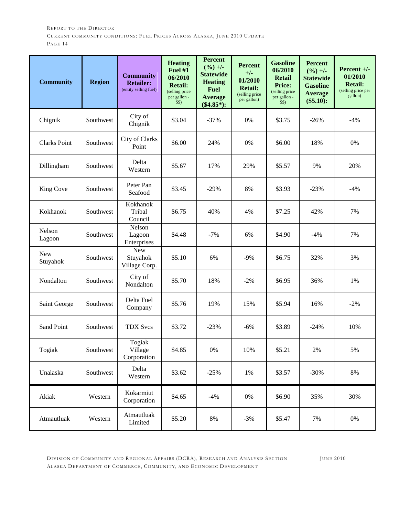| <b>Community</b>       | <b>Region</b> | <b>Community</b><br><b>Retailer:</b><br>(entity selling fuel) | <b>Heating</b><br><b>Fuel #1</b><br>06/2010<br><b>Retail:</b><br>(selling price)<br>per gallon -<br>\$S) | <b>Percent</b><br>$(\frac{9}{6}) +$ -<br><b>Statewide</b><br><b>Heating</b><br><b>Fuel</b><br><b>Average</b><br>$(\$4.85*)$ : | <b>Percent</b><br>$+/-$<br>01/2010<br><b>Retail:</b><br>(selling price<br>per gallon) | <b>Gasoline</b><br>06/2010<br><b>Retail</b><br><b>Price:</b><br>(selling price)<br>per gallon -<br>\$S) | <b>Percent</b><br>$(\frac{9}{6}) +$ -<br><b>Statewide</b><br><b>Gasoline</b><br><b>Average</b><br>$(\$5.10):$ | Percent $+/-$<br>01/2010<br><b>Retail:</b><br>(selling price per<br>gallon) |
|------------------------|---------------|---------------------------------------------------------------|----------------------------------------------------------------------------------------------------------|-------------------------------------------------------------------------------------------------------------------------------|---------------------------------------------------------------------------------------|---------------------------------------------------------------------------------------------------------|---------------------------------------------------------------------------------------------------------------|-----------------------------------------------------------------------------|
| Chignik                | Southwest     | City of<br>Chignik                                            | \$3.04                                                                                                   | $-37%$                                                                                                                        | 0%                                                                                    | \$3.75                                                                                                  | $-26%$                                                                                                        | $-4%$                                                                       |
| <b>Clarks Point</b>    | Southwest     | City of Clarks<br>Point                                       | \$6.00                                                                                                   | 24%                                                                                                                           | 0%                                                                                    | \$6.00                                                                                                  | 18%                                                                                                           | 0%                                                                          |
| Dillingham             | Southwest     | Delta<br>Western                                              | \$5.67                                                                                                   | 17%                                                                                                                           | 29%                                                                                   | \$5.57                                                                                                  | 9%                                                                                                            | 20%                                                                         |
| King Cove              | Southwest     | Peter Pan<br>Seafood                                          | \$3.45                                                                                                   | $-29%$                                                                                                                        | 8%                                                                                    | \$3.93                                                                                                  | $-23%$                                                                                                        | $-4%$                                                                       |
| Kokhanok               | Southwest     | Kokhanok<br>Tribal<br>Council                                 | \$6.75                                                                                                   | 40%                                                                                                                           | 4%                                                                                    | \$7.25                                                                                                  | 42%                                                                                                           | 7%                                                                          |
| Nelson<br>Lagoon       | Southwest     | Nelson<br>Lagoon<br>Enterprises                               | \$4.48                                                                                                   | $-7%$                                                                                                                         | 6%                                                                                    | \$4.90                                                                                                  | $-4%$                                                                                                         | 7%                                                                          |
| <b>New</b><br>Stuyahok | Southwest     | <b>New</b><br>Stuyahok<br>Village Corp.                       | \$5.10                                                                                                   | 6%                                                                                                                            | $-9%$                                                                                 | \$6.75                                                                                                  | 32%                                                                                                           | 3%                                                                          |
| Nondalton              | Southwest     | City of<br>Nondalton                                          | \$5.70                                                                                                   | 18%                                                                                                                           | $-2%$                                                                                 | \$6.95                                                                                                  | 36%                                                                                                           | 1%                                                                          |
| Saint George           | Southwest     | Delta Fuel<br>Company                                         | \$5.76                                                                                                   | 19%                                                                                                                           | 15%                                                                                   | \$5.94                                                                                                  | 16%                                                                                                           | $-2%$                                                                       |
| Sand Point             | Southwest     | <b>TDX Svcs</b>                                               | \$3.72                                                                                                   | $-23%$                                                                                                                        | $-6%$                                                                                 | \$3.89                                                                                                  | $-24%$                                                                                                        | 10%                                                                         |
| Togiak                 | Southwest     | Togiak<br>Village<br>Corporation                              | \$4.85                                                                                                   | $0\%$                                                                                                                         | 10%                                                                                   | \$5.21                                                                                                  | 2%                                                                                                            | 5%                                                                          |
| Unalaska               | Southwest     | Delta<br>Western                                              | \$3.62                                                                                                   | $-25%$                                                                                                                        | $1\%$                                                                                 | \$3.57                                                                                                  | $-30%$                                                                                                        | $8\%$                                                                       |
| Akiak                  | Western       | Kokarmiut<br>Corporation                                      | \$4.65                                                                                                   | $-4%$                                                                                                                         | $0\%$                                                                                 | \$6.90                                                                                                  | 35%                                                                                                           | 30%                                                                         |
| Atmautluak             | Western       | Atmautluak<br>Limited                                         | \$5.20                                                                                                   | $8\%$                                                                                                                         | $-3%$                                                                                 | \$5.47                                                                                                  | 7%                                                                                                            | $0\%$                                                                       |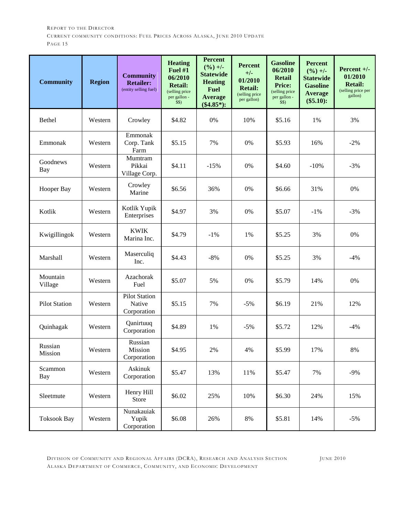| <b>Community</b>       | <b>Region</b> | <b>Community</b><br><b>Retailer:</b><br>(entity selling fuel) | <b>Heating</b><br><b>Fuel #1</b><br>06/2010<br><b>Retail:</b><br>(selling price<br>per gallon -<br>\$\$) | <b>Percent</b><br>$(\frac{9}{6}) +$ -<br><b>Statewide</b><br><b>Heating</b><br><b>Fuel</b><br><b>Average</b><br>$(\$4.85*)$ : | <b>Percent</b><br>$+/-$<br>01/2010<br><b>Retail:</b><br>(selling price<br>per gallon) | <b>Gasoline</b><br>06/2010<br><b>Retail</b><br><b>Price:</b><br>(selling price<br>per gallon -<br>\$\$) | <b>Percent</b><br>$(\frac{9}{6}) +$ -<br><b>Statewide</b><br><b>Gasoline</b><br><b>Average</b><br>$(\$5.10):$ | Percent $+/-$<br>01/2010<br><b>Retail:</b><br>(selling price per<br>gallon) |
|------------------------|---------------|---------------------------------------------------------------|----------------------------------------------------------------------------------------------------------|-------------------------------------------------------------------------------------------------------------------------------|---------------------------------------------------------------------------------------|---------------------------------------------------------------------------------------------------------|---------------------------------------------------------------------------------------------------------------|-----------------------------------------------------------------------------|
| Bethel                 | Western       | Crowley                                                       | \$4.82                                                                                                   | 0%                                                                                                                            | 10%                                                                                   | \$5.16                                                                                                  | 1%                                                                                                            | 3%                                                                          |
| Emmonak                | Western       | Emmonak<br>Corp. Tank<br>Farm                                 | \$5.15                                                                                                   | 7%                                                                                                                            | 0%                                                                                    | \$5.93                                                                                                  | 16%                                                                                                           | $-2%$                                                                       |
| Goodnews<br><b>Bay</b> | Western       | Mumtram<br>Pikkai<br>Village Corp.                            | \$4.11                                                                                                   | $-15%$                                                                                                                        | $0\%$                                                                                 | \$4.60                                                                                                  | $-10%$                                                                                                        | $-3%$                                                                       |
| Hooper Bay             | Western       | Crowley<br>Marine                                             | \$6.56                                                                                                   | 36%                                                                                                                           | $0\%$                                                                                 | \$6.66                                                                                                  | 31%                                                                                                           | 0%                                                                          |
| Kotlik                 | Western       | Kotlik Yupik<br>Enterprises                                   | \$4.97                                                                                                   | 3%                                                                                                                            | 0%                                                                                    | \$5.07                                                                                                  | $-1\%$                                                                                                        | $-3%$                                                                       |
| Kwigillingok           | Western       | <b>KWIK</b><br>Marina Inc.                                    | \$4.79                                                                                                   | $-1\%$                                                                                                                        | 1%                                                                                    | \$5.25                                                                                                  | 3%                                                                                                            | $0\%$                                                                       |
| Marshall               | Western       | Maserculiq<br>Inc.                                            | \$4.43                                                                                                   | $-8%$                                                                                                                         | 0%                                                                                    | \$5.25                                                                                                  | 3%                                                                                                            | $-4%$                                                                       |
| Mountain<br>Village    | Western       | Azachorak<br>Fuel                                             | \$5.07                                                                                                   | 5%                                                                                                                            | $0\%$                                                                                 | \$5.79                                                                                                  | 14%                                                                                                           | $0\%$                                                                       |
| <b>Pilot Station</b>   | Western       | <b>Pilot Station</b><br>Native<br>Corporation                 | \$5.15                                                                                                   | 7%                                                                                                                            | $-5%$                                                                                 | \$6.19                                                                                                  | 21%                                                                                                           | 12%                                                                         |
| Quinhagak              | Western       | Qanirtuuq<br>Corporation                                      | \$4.89                                                                                                   | 1%                                                                                                                            | $-5%$                                                                                 | \$5.72                                                                                                  | 12%                                                                                                           | $-4%$                                                                       |
| Russian<br>Mission     | Western       | Russian<br>Mission<br>Corporation                             | \$4.95                                                                                                   | $2\%$                                                                                                                         | 4%                                                                                    | \$5.99                                                                                                  | 17%                                                                                                           | $8\%$                                                                       |
| Scammon<br>Bay         | Western       | Askinuk<br>Corporation                                        | \$5.47                                                                                                   | 13%                                                                                                                           | 11%                                                                                   | \$5.47                                                                                                  | 7%                                                                                                            | $-9%$                                                                       |
| Sleetmute              | Western       | Henry Hill<br>Store                                           | \$6.02                                                                                                   | 25%                                                                                                                           | 10%                                                                                   | \$6.30                                                                                                  | 24%                                                                                                           | 15%                                                                         |
| <b>Toksook Bay</b>     | Western       | Nunakauiak<br>Yupik<br>Corporation                            | \$6.08                                                                                                   | 26%                                                                                                                           | $8\%$                                                                                 | \$5.81                                                                                                  | 14%                                                                                                           | $-5%$                                                                       |